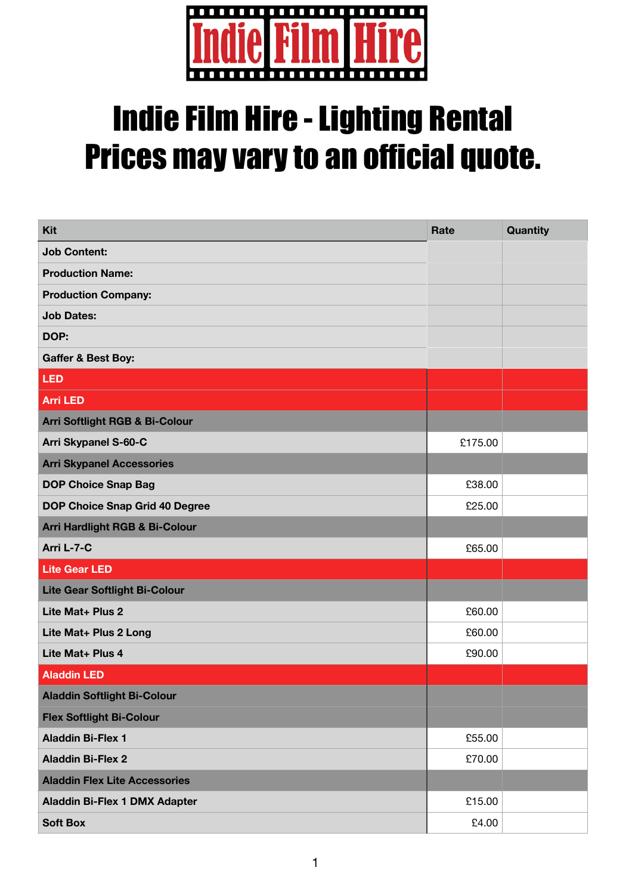

## Indie Film Hire - Lighting Rental Prices may vary to an official quote.

| Kit                                  | Rate    | <b>Quantity</b> |
|--------------------------------------|---------|-----------------|
| <b>Job Content:</b>                  |         |                 |
| <b>Production Name:</b>              |         |                 |
| <b>Production Company:</b>           |         |                 |
| <b>Job Dates:</b>                    |         |                 |
| DOP:                                 |         |                 |
| <b>Gaffer &amp; Best Boy:</b>        |         |                 |
| <b>LED</b>                           |         |                 |
| <b>Arri LED</b>                      |         |                 |
| Arri Softlight RGB & Bi-Colour       |         |                 |
| <b>Arri Skypanel S-60-C</b>          | £175.00 |                 |
| <b>Arri Skypanel Accessories</b>     |         |                 |
| <b>DOP Choice Snap Bag</b>           | £38.00  |                 |
| DOP Choice Snap Grid 40 Degree       | £25.00  |                 |
| Arri Hardlight RGB & Bi-Colour       |         |                 |
| Arri L-7-C                           | £65.00  |                 |
| <b>Lite Gear LED</b>                 |         |                 |
| <b>Lite Gear Softlight Bi-Colour</b> |         |                 |
| Lite Mat+ Plus 2                     | £60.00  |                 |
| Lite Mat+ Plus 2 Long                | £60.00  |                 |
| Lite Mat+ Plus 4                     | £90.00  |                 |
| <b>Aladdin LED</b>                   |         |                 |
| <b>Aladdin Softlight Bi-Colour</b>   |         |                 |
| <b>Flex Softlight Bi-Colour</b>      |         |                 |
| <b>Aladdin Bi-Flex 1</b>             | £55.00  |                 |
| <b>Aladdin Bi-Flex 2</b>             | £70.00  |                 |
| <b>Aladdin Flex Lite Accessories</b> |         |                 |
| Aladdin Bi-Flex 1 DMX Adapter        | £15.00  |                 |
| <b>Soft Box</b>                      | £4.00   |                 |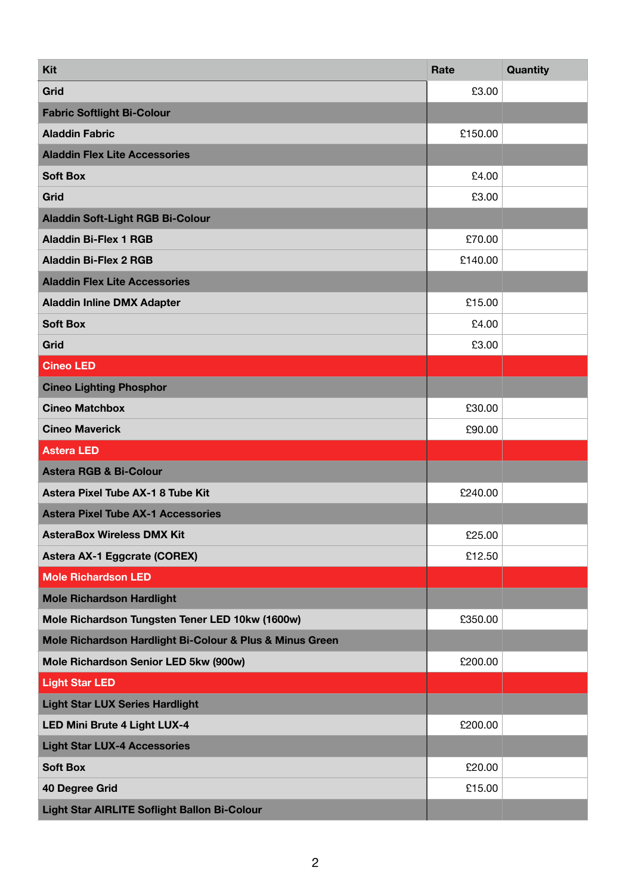| Kit                                                      | Rate    | Quantity |
|----------------------------------------------------------|---------|----------|
| Grid                                                     | £3.00   |          |
| <b>Fabric Softlight Bi-Colour</b>                        |         |          |
| <b>Aladdin Fabric</b>                                    | £150.00 |          |
| <b>Aladdin Flex Lite Accessories</b>                     |         |          |
| <b>Soft Box</b>                                          | £4.00   |          |
| Grid                                                     | £3.00   |          |
| <b>Aladdin Soft-Light RGB Bi-Colour</b>                  |         |          |
| <b>Aladdin Bi-Flex 1 RGB</b>                             | £70.00  |          |
| <b>Aladdin Bi-Flex 2 RGB</b>                             | £140.00 |          |
| <b>Aladdin Flex Lite Accessories</b>                     |         |          |
| <b>Aladdin Inline DMX Adapter</b>                        | £15.00  |          |
| <b>Soft Box</b>                                          | £4.00   |          |
| Grid                                                     | £3.00   |          |
| <b>Cineo LED</b>                                         |         |          |
| <b>Cineo Lighting Phosphor</b>                           |         |          |
| <b>Cineo Matchbox</b>                                    | £30.00  |          |
| <b>Cineo Maverick</b>                                    | £90.00  |          |
| <b>Astera LED</b>                                        |         |          |
| <b>Astera RGB &amp; Bi-Colour</b>                        |         |          |
| Astera Pixel Tube AX-1 8 Tube Kit                        | £240.00 |          |
| <b>Astera Pixel Tube AX-1 Accessories</b>                |         |          |
| <b>AsteraBox Wireless DMX Kit</b>                        | £25.00  |          |
| <b>Astera AX-1 Eggcrate (COREX)</b>                      | £12.50  |          |
| <b>Mole Richardson LED</b>                               |         |          |
| <b>Mole Richardson Hardlight</b>                         |         |          |
| Mole Richardson Tungsten Tener LED 10kw (1600w)          | £350.00 |          |
| Mole Richardson Hardlight Bi-Colour & Plus & Minus Green |         |          |
| Mole Richardson Senior LED 5kw (900w)                    | £200.00 |          |
| <b>Light Star LED</b>                                    |         |          |
| <b>Light Star LUX Series Hardlight</b>                   |         |          |
| <b>LED Mini Brute 4 Light LUX-4</b>                      | £200.00 |          |
| <b>Light Star LUX-4 Accessories</b>                      |         |          |
| <b>Soft Box</b>                                          | £20.00  |          |
| 40 Degree Grid                                           | £15.00  |          |
| Light Star AIRLITE Soflight Ballon Bi-Colour             |         |          |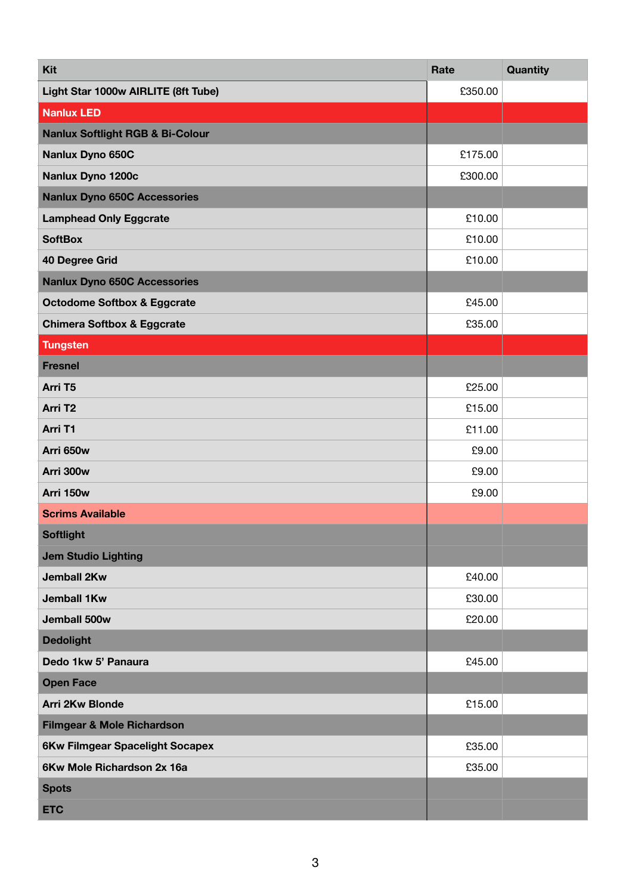| Kit                                         | Rate    | <b>Quantity</b> |
|---------------------------------------------|---------|-----------------|
| Light Star 1000w AIRLITE (8ft Tube)         | £350.00 |                 |
| <b>Nanlux LED</b>                           |         |                 |
| <b>Nanlux Softlight RGB &amp; Bi-Colour</b> |         |                 |
| Nanlux Dyno 650C                            | £175.00 |                 |
| Nanlux Dyno 1200c                           | £300.00 |                 |
| <b>Nanlux Dyno 650C Accessories</b>         |         |                 |
| <b>Lamphead Only Eggcrate</b>               | £10.00  |                 |
| <b>SoftBox</b>                              | £10.00  |                 |
| 40 Degree Grid                              | £10.00  |                 |
| <b>Nanlux Dyno 650C Accessories</b>         |         |                 |
| <b>Octodome Softbox &amp; Eggcrate</b>      | £45.00  |                 |
| <b>Chimera Softbox &amp; Eggcrate</b>       | £35.00  |                 |
| <b>Tungsten</b>                             |         |                 |
| <b>Fresnel</b>                              |         |                 |
| Arri T5                                     | £25.00  |                 |
| Arri T <sub>2</sub>                         | £15.00  |                 |
| Arri T1                                     | £11.00  |                 |
| Arri 650w                                   | £9.00   |                 |
| Arri 300w                                   | £9.00   |                 |
| Arri 150w                                   | £9.00   |                 |
| <b>Scrims Available</b>                     |         |                 |
| <b>Softlight</b>                            |         |                 |
| <b>Jem Studio Lighting</b>                  |         |                 |
| <b>Jemball 2Kw</b>                          | £40.00  |                 |
| <b>Jemball 1Kw</b>                          | £30.00  |                 |
| Jemball 500w                                | £20.00  |                 |
| <b>Dedolight</b>                            |         |                 |
| Dedo 1kw 5' Panaura                         | £45.00  |                 |
| <b>Open Face</b>                            |         |                 |
| Arri 2Kw Blonde                             | £15.00  |                 |
| Filmgear & Mole Richardson                  |         |                 |
| <b>6Kw Filmgear Spacelight Socapex</b>      | £35.00  |                 |
| 6Kw Mole Richardson 2x 16a                  | £35.00  |                 |
| <b>Spots</b>                                |         |                 |
| <b>ETC</b>                                  |         |                 |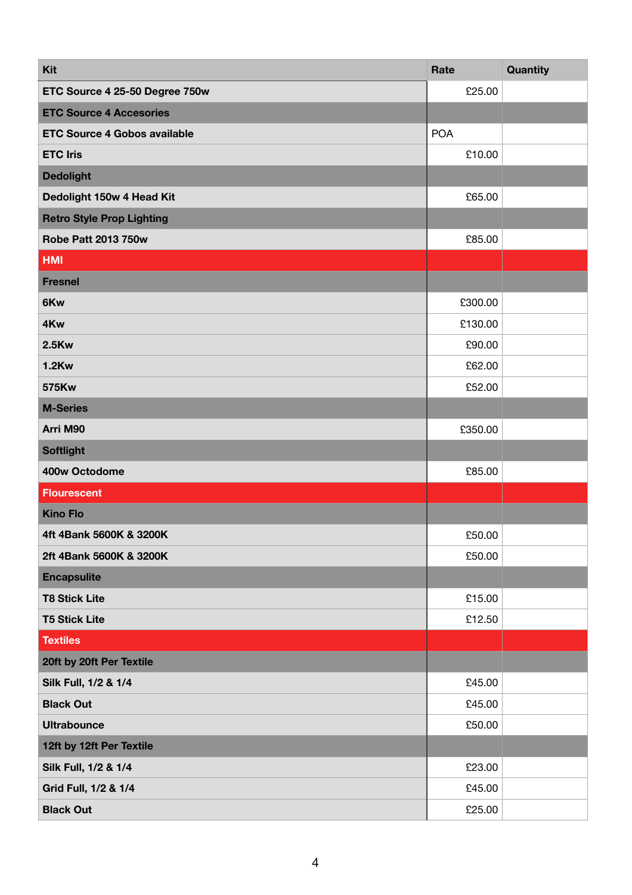| Kit                                 | Rate       | Quantity |
|-------------------------------------|------------|----------|
| ETC Source 4 25-50 Degree 750w      | £25.00     |          |
| <b>ETC Source 4 Accesories</b>      |            |          |
| <b>ETC Source 4 Gobos available</b> | <b>POA</b> |          |
| <b>ETC Iris</b>                     | £10.00     |          |
| <b>Dedolight</b>                    |            |          |
| Dedolight 150w 4 Head Kit           | £65.00     |          |
| <b>Retro Style Prop Lighting</b>    |            |          |
| <b>Robe Patt 2013 750w</b>          | £85.00     |          |
| <b>HMI</b>                          |            |          |
| <b>Fresnel</b>                      |            |          |
| 6Kw                                 | £300.00    |          |
| 4Kw                                 | £130.00    |          |
| <b>2.5Kw</b>                        | £90.00     |          |
| <b>1.2Kw</b>                        | £62.00     |          |
| 575Kw                               | £52.00     |          |
| <b>M-Series</b>                     |            |          |
| Arri M90                            | £350.00    |          |
| <b>Softlight</b>                    |            |          |
| 400w Octodome                       | £85.00     |          |
| <b>Flourescent</b>                  |            |          |
| <b>Kino Flo</b>                     |            |          |
| 4ft 4Bank 5600K & 3200K             | £50.00     |          |
| 2ft 4Bank 5600K & 3200K             | £50.00     |          |
| <b>Encapsulite</b>                  |            |          |
| <b>T8 Stick Lite</b>                | £15.00     |          |
| <b>T5 Stick Lite</b>                | £12.50     |          |
| <b>Textiles</b>                     |            |          |
| 20ft by 20ft Per Textile            |            |          |
| Silk Full, 1/2 & 1/4                | £45.00     |          |
| <b>Black Out</b>                    | £45.00     |          |
| <b>Ultrabounce</b>                  | £50.00     |          |
| 12ft by 12ft Per Textile            |            |          |
| Silk Full, 1/2 & 1/4                | £23.00     |          |
| Grid Full, 1/2 & 1/4                | £45.00     |          |
| <b>Black Out</b>                    | £25.00     |          |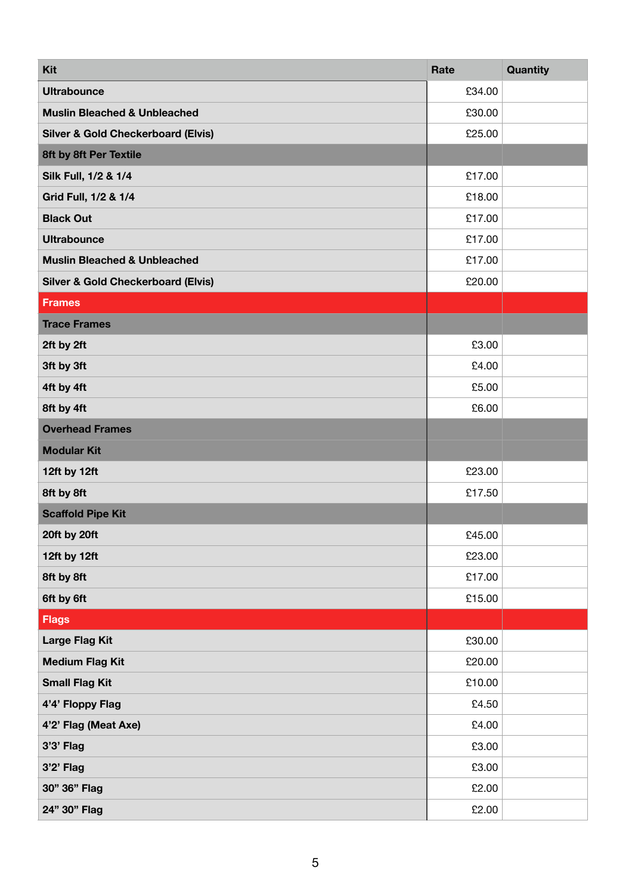| <b>Kit</b>                                    | Rate   | Quantity |
|-----------------------------------------------|--------|----------|
| <b>Ultrabounce</b>                            | £34.00 |          |
| <b>Muslin Bleached &amp; Unbleached</b>       | £30.00 |          |
| <b>Silver &amp; Gold Checkerboard (Elvis)</b> | £25.00 |          |
| 8ft by 8ft Per Textile                        |        |          |
| Silk Full, 1/2 & 1/4                          | £17.00 |          |
| Grid Full, 1/2 & 1/4                          | £18.00 |          |
| <b>Black Out</b>                              | £17.00 |          |
| <b>Ultrabounce</b>                            | £17.00 |          |
| <b>Muslin Bleached &amp; Unbleached</b>       | £17.00 |          |
| <b>Silver &amp; Gold Checkerboard (Elvis)</b> | £20.00 |          |
| Frames                                        |        |          |
| <b>Trace Frames</b>                           |        |          |
| 2ft by 2ft                                    | £3.00  |          |
| 3ft by 3ft                                    | £4.00  |          |
| 4ft by 4ft                                    | £5.00  |          |
| 8ft by 4ft                                    | £6.00  |          |
| <b>Overhead Frames</b>                        |        |          |
| <b>Modular Kit</b>                            |        |          |
| 12ft by 12ft                                  | £23.00 |          |
| 8ft by 8ft                                    | £17.50 |          |
| <b>Scaffold Pipe Kit</b>                      |        |          |
| 20ft by 20ft                                  | £45.00 |          |
| 12ft by 12ft                                  | £23.00 |          |
| 8ft by 8ft                                    | £17.00 |          |
| 6ft by 6ft                                    | £15.00 |          |
| <b>Flags</b>                                  |        |          |
| <b>Large Flag Kit</b>                         | £30.00 |          |
| <b>Medium Flag Kit</b>                        | £20.00 |          |
| <b>Small Flag Kit</b>                         | £10.00 |          |
| 4'4' Floppy Flag                              | £4.50  |          |
| 4'2' Flag (Meat Axe)                          | £4.00  |          |
| $3'3'$ Flag                                   | £3.00  |          |
| $3'2'$ Flag                                   | £3.00  |          |
| 30" 36" Flag                                  | £2.00  |          |
| 24" 30" Flag                                  | £2.00  |          |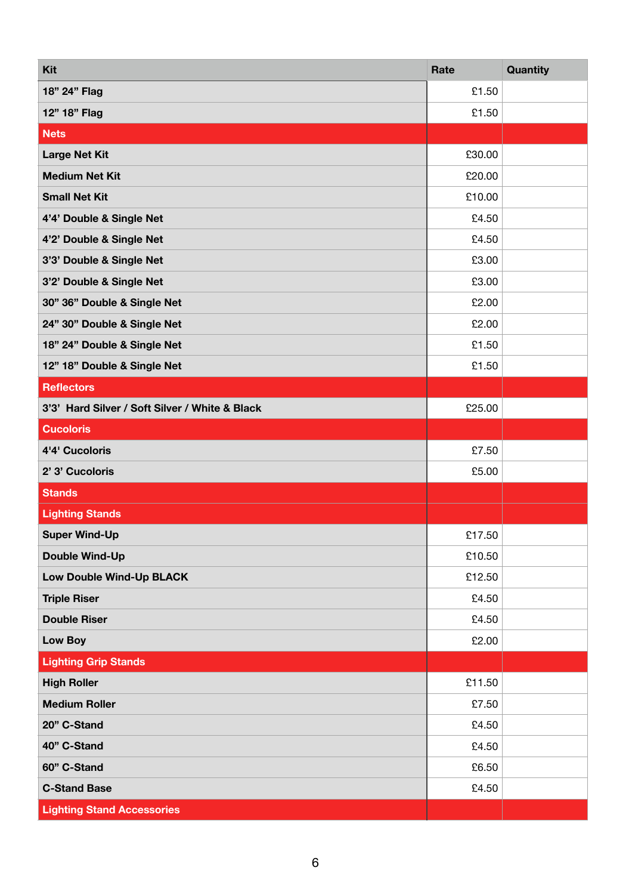| Kit                                            | Rate   | Quantity |
|------------------------------------------------|--------|----------|
| 18" 24" Flag                                   | £1.50  |          |
| 12" 18" Flag                                   | £1.50  |          |
| <b>Nets</b>                                    |        |          |
| <b>Large Net Kit</b>                           | £30.00 |          |
| <b>Medium Net Kit</b>                          | £20.00 |          |
| <b>Small Net Kit</b>                           | £10.00 |          |
| 4'4' Double & Single Net                       | £4.50  |          |
| 4'2' Double & Single Net                       | £4.50  |          |
| 3'3' Double & Single Net                       | £3.00  |          |
| 3'2' Double & Single Net                       | £3.00  |          |
| 30" 36" Double & Single Net                    | £2.00  |          |
| 24" 30" Double & Single Net                    | £2.00  |          |
| 18" 24" Double & Single Net                    | £1.50  |          |
| 12" 18" Double & Single Net                    | £1.50  |          |
| <b>Reflectors</b>                              |        |          |
| 3'3' Hard Silver / Soft Silver / White & Black | £25.00 |          |
| <b>Cucoloris</b>                               |        |          |
| 4'4' Cucoloris                                 | £7.50  |          |
| 2' 3' Cucoloris                                | £5.00  |          |
| <b>Stands</b>                                  |        |          |
| <b>Lighting Stands</b>                         |        |          |
| <b>Super Wind-Up</b>                           | £17.50 |          |
| <b>Double Wind-Up</b>                          | £10.50 |          |
| Low Double Wind-Up BLACK                       | £12.50 |          |
| <b>Triple Riser</b>                            | £4.50  |          |
| <b>Double Riser</b>                            | £4.50  |          |
| Low Boy                                        | £2.00  |          |
| <b>Lighting Grip Stands</b>                    |        |          |
| <b>High Roller</b>                             | £11.50 |          |
| <b>Medium Roller</b>                           | £7.50  |          |
| 20" C-Stand                                    | £4.50  |          |
| 40" C-Stand                                    | £4.50  |          |
| 60" C-Stand                                    | £6.50  |          |
| <b>C-Stand Base</b>                            | £4.50  |          |
| <b>Lighting Stand Accessories</b>              |        |          |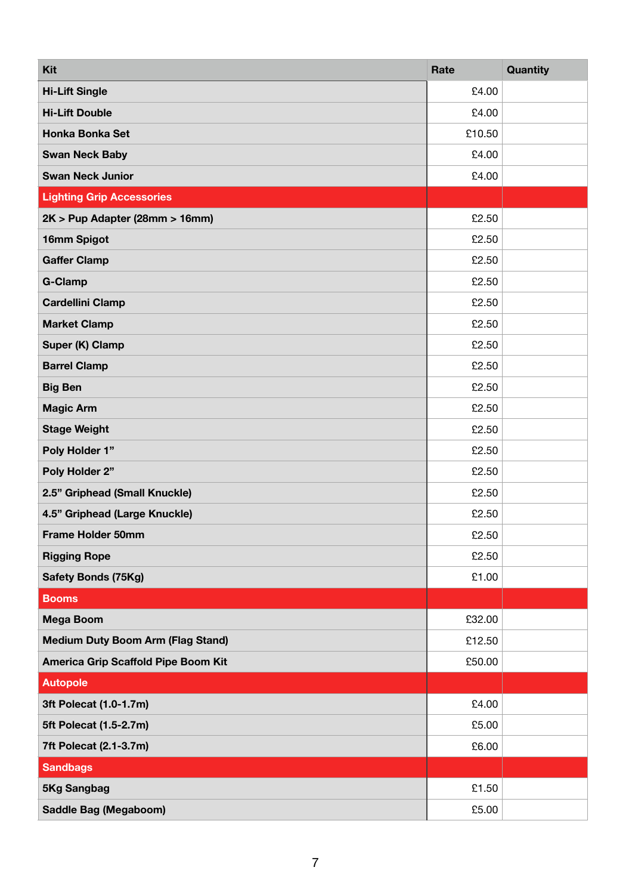| Kit                                      | Rate   | Quantity |
|------------------------------------------|--------|----------|
| <b>Hi-Lift Single</b>                    | £4.00  |          |
| <b>Hi-Lift Double</b>                    | £4.00  |          |
| Honka Bonka Set                          | £10.50 |          |
| <b>Swan Neck Baby</b>                    | £4.00  |          |
| <b>Swan Neck Junior</b>                  | £4.00  |          |
| <b>Lighting Grip Accessories</b>         |        |          |
| 2K > Pup Adapter (28mm > 16mm)           | £2.50  |          |
| 16mm Spigot                              | £2.50  |          |
| <b>Gaffer Clamp</b>                      | £2.50  |          |
| <b>G-Clamp</b>                           | £2.50  |          |
| <b>Cardellini Clamp</b>                  | £2.50  |          |
| <b>Market Clamp</b>                      | £2.50  |          |
| Super (K) Clamp                          | £2.50  |          |
| <b>Barrel Clamp</b>                      | £2.50  |          |
| <b>Big Ben</b>                           | £2.50  |          |
| <b>Magic Arm</b>                         | £2.50  |          |
| <b>Stage Weight</b>                      | £2.50  |          |
| Poly Holder 1"                           | £2.50  |          |
| Poly Holder 2"                           | £2.50  |          |
| 2.5" Griphead (Small Knuckle)            | £2.50  |          |
| 4.5" Griphead (Large Knuckle)            | £2.50  |          |
| <b>Frame Holder 50mm</b>                 | £2.50  |          |
| <b>Rigging Rope</b>                      | £2.50  |          |
| <b>Safety Bonds (75Kg)</b>               | £1.00  |          |
| <b>Booms</b>                             |        |          |
| <b>Mega Boom</b>                         | £32.00 |          |
| <b>Medium Duty Boom Arm (Flag Stand)</b> | £12.50 |          |
| America Grip Scaffold Pipe Boom Kit      | £50.00 |          |
| <b>Autopole</b>                          |        |          |
| 3ft Polecat (1.0-1.7m)                   | £4.00  |          |
| 5ft Polecat (1.5-2.7m)                   | £5.00  |          |
| 7ft Polecat (2.1-3.7m)                   | £6.00  |          |
| <b>Sandbags</b>                          |        |          |
| 5Kg Sangbag                              | £1.50  |          |
| Saddle Bag (Megaboom)                    | £5.00  |          |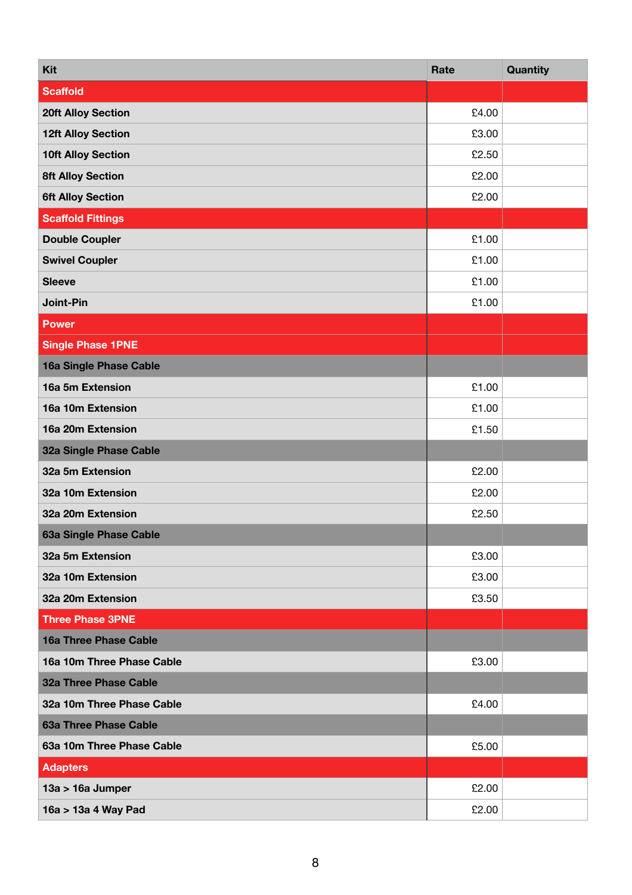| <b>Kit</b>                | Rate  | Quantity |
|---------------------------|-------|----------|
| Scaffold                  |       |          |
| <b>20ft Alloy Section</b> | £4.00 |          |
| <b>12ft Alloy Section</b> | £3.00 |          |
| <b>10ft Alloy Section</b> | £2.50 |          |
| <b>8ft Alloy Section</b>  | £2.00 |          |
| <b>6ft Alloy Section</b>  | £2.00 |          |
| <b>Scaffold Fittings</b>  |       |          |
| <b>Double Coupler</b>     | £1.00 |          |
| <b>Swivel Coupler</b>     | £1.00 |          |
| <b>Sleeve</b>             | £1.00 |          |
| Joint-Pin                 | £1.00 |          |
| <b>Power</b>              |       |          |
| <b>Single Phase 1PNE</b>  |       |          |
| 16a Single Phase Cable    |       |          |
| 16a 5m Extension          | £1.00 |          |
| 16a 10m Extension         | £1.00 |          |
| 16a 20m Extension         | £1.50 |          |
| 32a Single Phase Cable    |       |          |
| 32a 5m Extension          | £2.00 |          |
| 32a 10m Extension         | £2.00 |          |
| 32a 20m Extension         | £2.50 |          |
| 63a Single Phase Cable    |       |          |
| 32a 5m Extension          | £3.00 |          |
| 32a 10m Extension         | £3.00 |          |
| 32a 20m Extension         | £3.50 |          |
| <b>Three Phase 3PNE</b>   |       |          |
| 16a Three Phase Cable     |       |          |
| 16a 10m Three Phase Cable | £3.00 |          |
| 32a Three Phase Cable     |       |          |
| 32a 10m Three Phase Cable | £4.00 |          |
| 63a Three Phase Cable     |       |          |
| 63a 10m Three Phase Cable | £5.00 |          |
| <b>Adapters</b>           |       |          |
| 13a > 16a Jumper          | £2.00 |          |
| 16a > 13a 4 Way Pad       | £2.00 |          |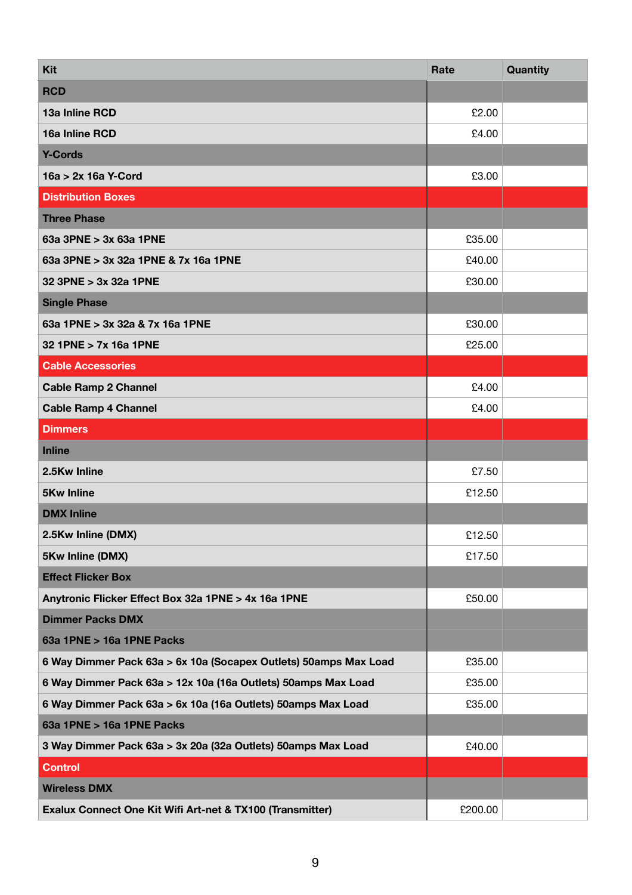| Kit                                                              | Rate    | Quantity |
|------------------------------------------------------------------|---------|----------|
| <b>RCD</b>                                                       |         |          |
| 13a Inline RCD                                                   | £2.00   |          |
| 16a Inline RCD                                                   | £4.00   |          |
| <b>Y-Cords</b>                                                   |         |          |
| 16a > 2x 16a Y-Cord                                              | £3.00   |          |
| <b>Distribution Boxes</b>                                        |         |          |
| <b>Three Phase</b>                                               |         |          |
| 63a 3PNE > 3x 63a 1PNE                                           | £35.00  |          |
| 63a 3PNE > 3x 32a 1PNE & 7x 16a 1PNE                             | £40.00  |          |
| 32 3PNE > 3x 32a 1PNE                                            | £30.00  |          |
| <b>Single Phase</b>                                              |         |          |
| 63a 1PNE > 3x 32a & 7x 16a 1PNE                                  | £30.00  |          |
| 32 1PNE > 7x 16a 1PNE                                            | £25.00  |          |
| <b>Cable Accessories</b>                                         |         |          |
| <b>Cable Ramp 2 Channel</b>                                      | £4.00   |          |
| <b>Cable Ramp 4 Channel</b>                                      | £4.00   |          |
| <b>Dimmers</b>                                                   |         |          |
| <b>Inline</b>                                                    |         |          |
| 2.5Kw Inline                                                     | £7.50   |          |
| <b>5Kw Inline</b>                                                | £12.50  |          |
| <b>DMX Inline</b>                                                |         |          |
| 2.5Kw Inline (DMX)                                               | £12.50  |          |
| 5Kw Inline (DMX)                                                 | £17.50  |          |
| <b>Effect Flicker Box</b>                                        |         |          |
| Anytronic Flicker Effect Box 32a 1PNE > 4x 16a 1PNE              | £50.00  |          |
| <b>Dimmer Packs DMX</b>                                          |         |          |
| 63a 1PNE > 16a 1PNE Packs                                        |         |          |
| 6 Way Dimmer Pack 63a > 6x 10a (Socapex Outlets) 50amps Max Load | £35.00  |          |
| 6 Way Dimmer Pack 63a > 12x 10a (16a Outlets) 50amps Max Load    | £35.00  |          |
| 6 Way Dimmer Pack 63a > 6x 10a (16a Outlets) 50amps Max Load     | £35.00  |          |
| 63a 1PNE > 16a 1PNE Packs                                        |         |          |
| 3 Way Dimmer Pack 63a > 3x 20a (32a Outlets) 50amps Max Load     | £40.00  |          |
| <b>Control</b>                                                   |         |          |
| <b>Wireless DMX</b>                                              |         |          |
| Exalux Connect One Kit Wifi Art-net & TX100 (Transmitter)        | £200.00 |          |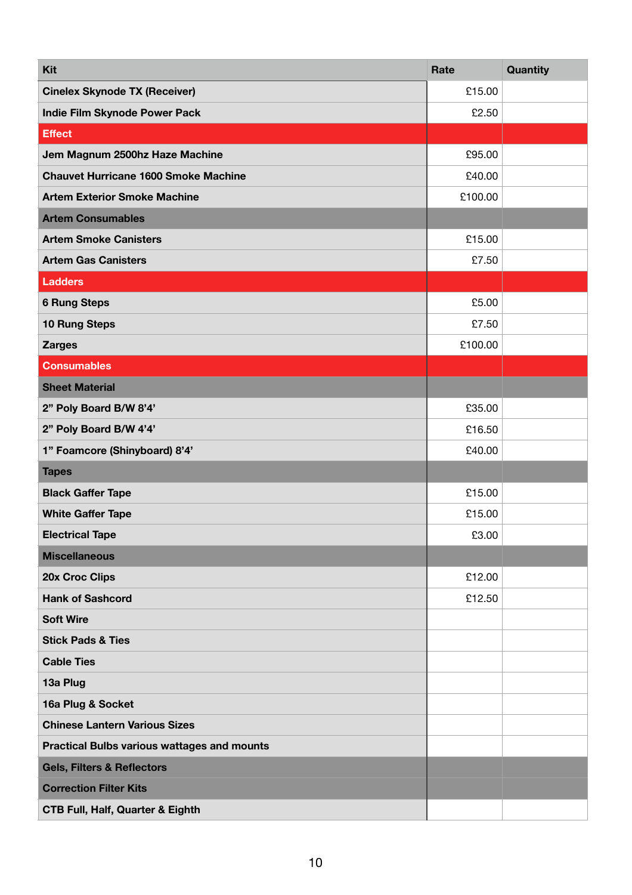| Kit                                                | Rate    | Quantity |
|----------------------------------------------------|---------|----------|
| <b>Cinelex Skynode TX (Receiver)</b>               | £15.00  |          |
| Indie Film Skynode Power Pack                      | £2.50   |          |
| <b>Effect</b>                                      |         |          |
| Jem Magnum 2500hz Haze Machine                     | £95.00  |          |
| <b>Chauvet Hurricane 1600 Smoke Machine</b>        | £40.00  |          |
| <b>Artem Exterior Smoke Machine</b>                | £100.00 |          |
| <b>Artem Consumables</b>                           |         |          |
| <b>Artem Smoke Canisters</b>                       | £15.00  |          |
| <b>Artem Gas Canisters</b>                         | £7.50   |          |
| <b>Ladders</b>                                     |         |          |
| <b>6 Rung Steps</b>                                | £5.00   |          |
| <b>10 Rung Steps</b>                               | £7.50   |          |
| <b>Zarges</b>                                      | £100.00 |          |
| <b>Consumables</b>                                 |         |          |
| <b>Sheet Material</b>                              |         |          |
| 2" Poly Board B/W 8'4'                             | £35.00  |          |
| 2" Poly Board B/W 4'4'                             | £16.50  |          |
| 1" Foamcore (Shinyboard) 8'4'                      | £40.00  |          |
| <b>Tapes</b>                                       |         |          |
| <b>Black Gaffer Tape</b>                           | £15.00  |          |
| <b>White Gaffer Tape</b>                           | £15.00  |          |
| <b>Electrical Tape</b>                             | £3.00   |          |
| <b>Miscellaneous</b>                               |         |          |
| 20x Croc Clips                                     | £12.00  |          |
| <b>Hank of Sashcord</b>                            | £12.50  |          |
| <b>Soft Wire</b>                                   |         |          |
| <b>Stick Pads &amp; Ties</b>                       |         |          |
| <b>Cable Ties</b>                                  |         |          |
| 13a Plug                                           |         |          |
| 16a Plug & Socket                                  |         |          |
| <b>Chinese Lantern Various Sizes</b>               |         |          |
| <b>Practical Bulbs various wattages and mounts</b> |         |          |
| <b>Gels, Filters &amp; Reflectors</b>              |         |          |
| <b>Correction Filter Kits</b>                      |         |          |
| <b>CTB Full, Half, Quarter &amp; Eighth</b>        |         |          |